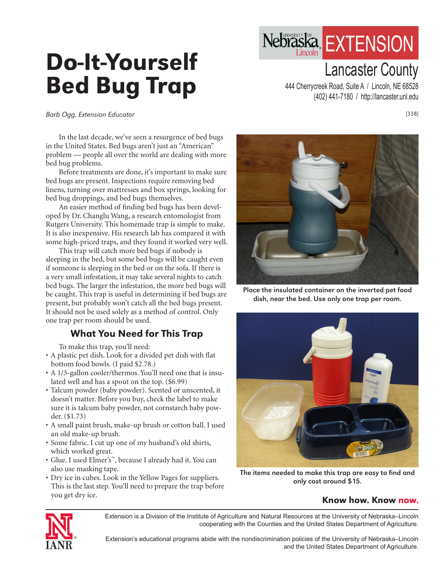# Do-It-Yourself Bed Bug Trap

Lancaster County 444 Cherrycreek Road, Suite A / Lincoln, NE 68528 (402) 441-7180 / http://lancaster.unl.edu

Nebraska EXTENSION

Barb Ogg, Extension Educator

In the last decade, we've seen a resurgence of bed bugs in the United States. Bed bugs aren't just an "American" problem — people all over the world are dealing with more bed bug problems.

Before treatments are done, it's important to make sure bed bugs are present. Inspections require removing bed linens, turning over mattresses and box springs, looking for bed bug droppings, and bed bugs themselves.

An easier method of finding bed bugs has been developed by Dr. Changlu Wang, a research entomologist from Rutgers University. This homemade trap is simple to make. It is also inexpensive. His research lab has compared it with some high-priced traps, and they found it worked very well.

This trap will catch more bed bugs if nobody is sleeping in the bed, but some bed bugs will be caught even if someone is sleeping in the bed or on the sofa. If there is a very small infestation, it may take several nights to catch bed bugs. The larger the infestation, the more bed bugs will be caught. This trap is useful in determining if bed bugs are present, but probably won't catch all the bed bugs present. It should not be used solely as a method of control. Only one trap per room should be used.

## What You Need for This Trap

To make this trap, you'll need:

- A plastic pet dish. Look for a divided pet dish with flat bottom food bowls. (I paid \$2.78.)
- A 1/3-gallon cooler/thermos. You'll need one that is insulated well and has a spout on the top. (\$6.99)
- Talcum powder (baby powder). Scented or unscented, it doesn't matter. Before you buy, check the label to make sure it is talcum baby powder, not cornstarch baby powder. (\$1.73)
- A small paint brush, make-up brush or cotton ball. I used an old make-up brush.
- Some fabric. I cut up one of my husband's old shirts, which worked great.
- Glue. I used Elmer's™, because I already had it. You can also use masking tape.
- Dry ice in cubes. Look in the Yellow Pages for suppliers. This is the last step. You'll need to prepare the trap before you get dry ice.



dish, near the bed. Use only one trap per room.



The items needed to make this trap are easy to find and only cost around \$15.

#### Know how. Know now.



Extension is a Division of the Institute of Agriculture and Natural Resources at the University of Nebraska–Lincoln cooperating with the Counties and the United States Department of Agriculture.

Extension's educational programs abide with the nondiscrimination policies of the University of Nebraska–Lincoln and the United States Department of Agriculture.

[338]